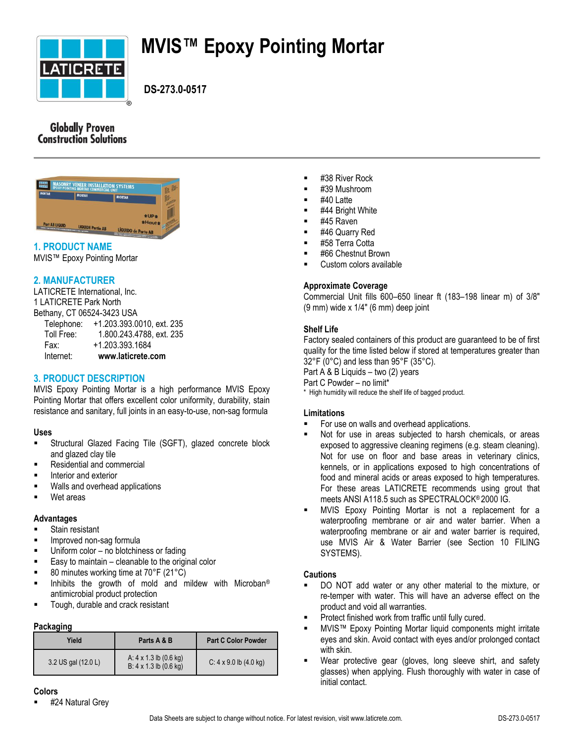

# **MVIS™ Epoxy Pointing Mortar**

 **DS-273.0-0517**

# **Globally Proven Construction Solutions**



# **1. PRODUCT NAME**

MVIS™ Epoxy Pointing Mortar

## **2. MANUFACTURER**

LATICRETE International, Inc. 1 LATICRETE Park North Bethany, CT 06524-3423 USA

| Internet:                  | www.laticrete.com         |
|----------------------------|---------------------------|
| Fax:                       | +1.203.393.1684           |
| Toll Free:                 | 1.800.243.4788, ext. 235  |
| Telephone:                 | +1.203.393.0010, ext. 235 |
| Bethany, CT 06524-3423 USA |                           |

# **3. PRODUCT DESCRIPTION**

MVIS Epoxy Pointing Mortar is a high performance MVIS Epoxy Pointing Mortar that offers excellent color uniformity, durability, stain resistance and sanitary, full joints in an easy-to-use, non-sag formula

#### **Uses**

- Structural Glazed Facing Tile (SGFT), glazed concrete block and glazed clay tile
- Residential and commercial
- Interior and exterior
- Walls and overhead applications
- Wet areas

#### **Advantages**

- Stain resistant
- Improved non-sag formula
- **Uniform color no blotchiness or fading**
- $\blacksquare$  Easy to maintain cleanable to the original color
- 80 minutes working time at 70°F (21°C)
- Inhibits the growth of mold and mildew with Microban<sup>®</sup> antimicrobial product protection
- Tough, durable and crack resistant

#### **Packaging**

| Yield               | Parts A & B                                                              | <b>Part C Color Powder</b>              |
|---------------------|--------------------------------------------------------------------------|-----------------------------------------|
| 3.2 US gal (12.0 L) | A: $4 \times 1.3$ lb $(0.6 \text{ kg})$<br>$B: 4 \times 1.3$ lb (0.6 kg) | $C: 4 \times 9.0$ lb $(4.0 \text{ kg})$ |

- #38 River Rock
- #39 Mushroom
- #40 Latte
- #44 Bright White
- #45 Raven
- #46 Quarry Red
- #58 Terra Cotta
- #66 Chestnut Brown
- Custom colors available

#### **Approximate Coverage**

Commercial Unit fills 600–650 linear ft (183–198 linear m) of 3/8" (9 mm) wide x 1/4" (6 mm) deep joint

#### **Shelf Life**

Factory sealed containers of this product are guaranteed to be of first quality for the time listed below if stored at temperatures greater than 32°F (0°C) and less than 95°F (35°C).

Part A & B Liquids – two (2) years

Part C Powder – no limit\*

\* High humidity will reduce the shelf life of bagged product.

#### **Limitations**

- For use on walls and overhead applications.
- Not for use in areas subjected to harsh chemicals, or areas exposed to aggressive cleaning regimens (e.g. steam cleaning). Not for use on floor and base areas in veterinary clinics, kennels, or in applications exposed to high concentrations of food and mineral acids or areas exposed to high temperatures. For these areas LATICRETE recommends using grout that meets ANSI A118.5 such as SPECTRALOCK® 2000 IG.
- MVIS Epoxy Pointing Mortar is not a replacement for a waterproofing membrane or air and water barrier. When a waterproofing membrane or air and water barrier is required, use MVIS Air & Water Barrier (see Section 10 FILING SYSTEMS).

#### **Cautions**

- DO NOT add water or any other material to the mixture, or re-temper with water. This will have an adverse effect on the product and void all warranties.
- Protect finished work from traffic until fully cured.
- MVIS™ Epoxy Pointing Mortar liquid components might irritate eyes and skin. Avoid contact with eyes and/or prolonged contact with skin.
- Wear protective gear (gloves, long sleeve shirt, and safety glasses) when applying. Flush thoroughly with water in case of initial contact.

#### **Colors**

#24 Natural Grey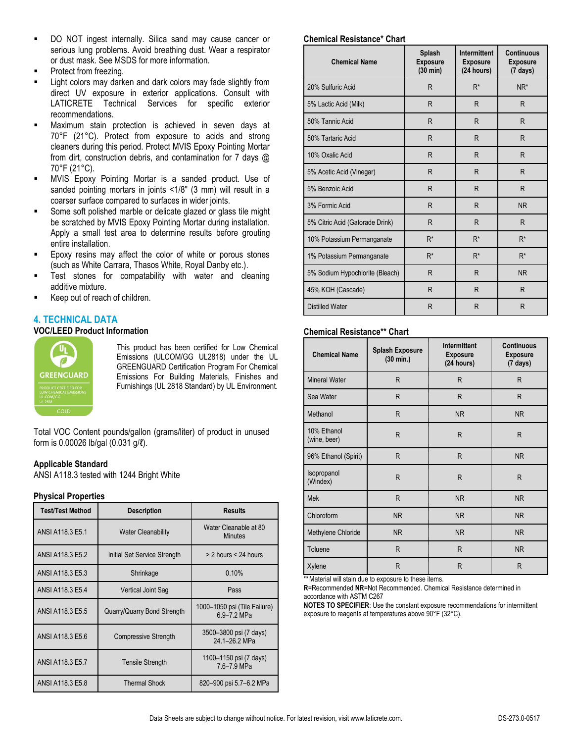- DO NOT ingest internally. Silica sand may cause cancer or serious lung problems. Avoid breathing dust. Wear a respirator or dust mask. See MSDS for more information.
- Protect from freezing.
- Light colors may darken and dark colors may fade slightly from direct UV exposure in exterior applications. Consult with LATICRETE Technical Services for specific exterior recommendations.
- Maximum stain protection is achieved in seven days at 70°F (21°C). Protect from exposure to acids and strong cleaners during this period. Protect MVIS Epoxy Pointing Mortar from dirt, construction debris, and contamination for 7 days @ 70°F (21°C).
- MVIS Epoxy Pointing Mortar is a sanded product. Use of sanded pointing mortars in joints <1/8" (3 mm) will result in a coarser surface compared to surfaces in wider joints.
- Some soft polished marble or delicate glazed or glass tile might be scratched by MVIS Epoxy Pointing Mortar during installation. Apply a small test area to determine results before grouting entire installation.
- Epoxy resins may affect the color of white or porous stones (such as White Carrara, Thasos White, Royal Danby etc.).
- Test stones for compatability with water and cleaning additive mixture.
- Keep out of reach of children.

#### **4. TECHNICAL DATA VOC/LEED Product Information**



This product has been certified for Low Chemical Emissions (ULCOM/GG UL2818) under the UL GREENGUARD Certification Program For Chemical Emissions For Building Materials, Finishes and Furnishings (UL 2818 Standard) by UL Environment.

Total VOC Content pounds/gallon (grams/liter) of product in unused form is 0.00026 lb/gal (0.031 g/ℓ).

#### **Applicable Standard**

ANSI A118.3 tested with 1244 Bright White

#### **Physical Properties**

| <b>Test/Test Method</b> | <b>Results</b><br><b>Description</b> |                                             |
|-------------------------|--------------------------------------|---------------------------------------------|
| ANSI A118.3 E5.1        | <b>Water Cleanability</b>            | Water Cleanable at 80<br><b>Minutes</b>     |
| ANSI A118.3 E5.2        | Initial Set Service Strength         | $>$ 2 hours $<$ 24 hours                    |
| ANSI A118.3 E5.3        | Shrinkage                            | 0.10%                                       |
| ANSI A118.3 E5.4        | Vertical Joint Sag                   | Pass                                        |
| ANSI A118.3 E5.5        | Quarry/Quarry Bond Strength          | 1000-1050 psi (Tile Failure)<br>6.9-7.2 MPa |
| ANSI A118.3 E5.6        | <b>Compressive Strength</b>          | 3500-3800 psi (7 days)<br>24.1-26.2 MPa     |
| ANSI A118.3 E5.7        | <b>Tensile Strength</b>              | 1100-1150 psi (7 days)<br>7.6-7.9 MPa       |
| ANSI A118.3 E5.8        | <b>Thermal Shock</b>                 | 820–900 psi 5.7–6.2 MPa                     |

#### **Chemical Resistance\* Chart**

| <b>Chemical Name</b>            | Splash<br><b>Exposure</b><br>$(30 \text{ min})$ | <b>Intermittent</b><br><b>Exposure</b><br>(24 hours) | <b>Continuous</b><br><b>Exposure</b><br>$(7 \text{ days})$ |
|---------------------------------|-------------------------------------------------|------------------------------------------------------|------------------------------------------------------------|
| 20% Sulfuric Acid               | R                                               | $R^*$                                                | NR <sup>*</sup>                                            |
| 5% Lactic Acid (Milk)           | R                                               | R                                                    | R                                                          |
| 50% Tannic Acid                 | R                                               | $\mathsf{R}$                                         | R                                                          |
| 50% Tartaric Acid               | R                                               | R                                                    | R                                                          |
| 10% Oxalic Acid                 | R                                               | R                                                    | R                                                          |
| 5% Acetic Acid (Vinegar)        | R                                               | $\mathsf{R}$                                         | R                                                          |
| 5% Benzoic Acid                 | R                                               | R                                                    | R                                                          |
| 3% Formic Acid                  | R                                               | R                                                    | <b>NR</b>                                                  |
| 5% Citric Acid (Gatorade Drink) | R                                               | R                                                    | R                                                          |
| 10% Potassium Permanganate      | $R^*$                                           | $R^*$                                                | $R^*$                                                      |
| 1% Potassium Permanganate       | $R^*$                                           | $R^*$                                                | $R^*$                                                      |
| 5% Sodium Hypochlorite (Bleach) | R                                               | R                                                    | <b>NR</b>                                                  |
| 45% KOH (Cascade)               | R                                               | R                                                    | R                                                          |
| <b>Distilled Water</b>          | R                                               | $\mathsf{R}$                                         | R                                                          |

#### **Chemical Resistance\*\* Chart**

| <b>Chemical Name</b>        | <b>Splash Exposure</b><br>$(30 \text{ min.})$ | Intermittent<br><b>Exposure</b><br>(24 hours) | <b>Continuous</b><br><b>Exposure</b><br>(7 days) |
|-----------------------------|-----------------------------------------------|-----------------------------------------------|--------------------------------------------------|
| <b>Mineral Water</b>        | R                                             | R                                             | R                                                |
| Sea Water                   | R                                             | R                                             | R                                                |
| Methanol                    | R                                             | <b>NR</b>                                     | <b>NR</b>                                        |
| 10% Ethanol<br>(wine, beer) | R                                             | R                                             | R                                                |
| 96% Ethanol (Spirit)        | R                                             | R.                                            | <b>NR</b>                                        |
| Isopropanol<br>(Windex)     | R                                             | R                                             | R                                                |
| <b>Mek</b>                  | R                                             | <b>NR</b>                                     | <b>NR</b>                                        |
| Chloroform                  | <b>NR</b>                                     | <b>NR</b>                                     | <b>NR</b>                                        |
| Methylene Chloride          | <b>NR</b>                                     | <b>NR</b>                                     | <b>NR</b>                                        |
| Toluene                     | R                                             | R.                                            | <b>NR</b>                                        |
| Xylene                      | R                                             | R                                             | R                                                |

\*\* Material will stain due to exposure to these items.

**R**=Recommended **NR**=Not Recommended. Chemical Resistance determined in accordance with ASTM C267

**NOTES TO SPECIFIER**: Use the constant exposure recommendations for intermittent exposure to reagents at temperatures above 90°F (32°C).